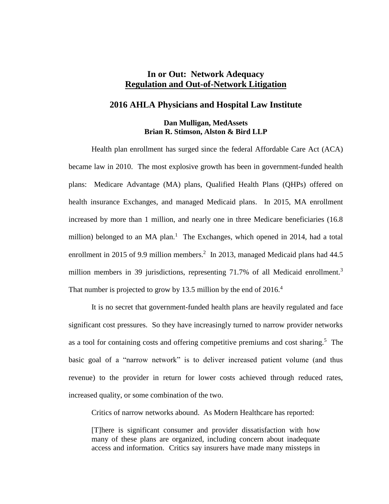# **In or Out: Network Adequacy Regulation and Out-of-Network Litigation**

#### **2016 AHLA Physicians and Hospital Law Institute**

#### **Dan Mulligan, MedAssets Brian R. Stimson, Alston & Bird LLP**

Health plan enrollment has surged since the federal Affordable Care Act (ACA) became law in 2010. The most explosive growth has been in government-funded health plans: Medicare Advantage (MA) plans, Qualified Health Plans (QHPs) offered on health insurance Exchanges, and managed Medicaid plans. In 2015, MA enrollment increased by more than 1 million, and nearly one in three Medicare beneficiaries (16.8 million) belonged to an MA plan.<sup>1</sup> The Exchanges, which opened in 2014, had a total enrollment in 2015 of 9.9 million members.<sup>2</sup> In 2013, managed Medicaid plans had  $44.5$ million members in 39 jurisdictions, representing 71.7% of all Medicaid enrollment.<sup>3</sup> That number is projected to grow by 13.5 million by the end of  $2016<sup>4</sup>$ 

It is no secret that government-funded health plans are heavily regulated and face significant cost pressures. So they have increasingly turned to narrow provider networks as a tool for containing costs and offering competitive premiums and cost sharing.<sup>5</sup> The basic goal of a "narrow network" is to deliver increased patient volume (and thus revenue) to the provider in return for lower costs achieved through reduced rates, increased quality, or some combination of the two.

Critics of narrow networks abound. As Modern Healthcare has reported:

[T]here is significant consumer and provider dissatisfaction with how many of these plans are organized, including concern about inadequate access and information. Critics say insurers have made many missteps in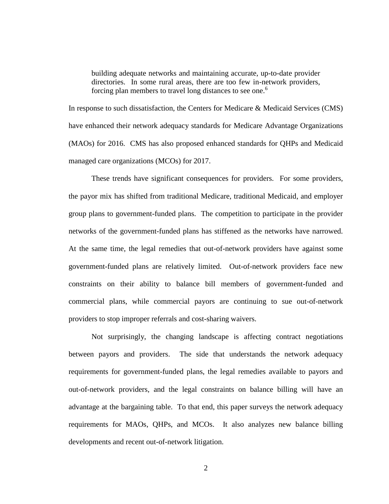building adequate networks and maintaining accurate, up-to-date provider directories. In some rural areas, there are too few in-network providers, forcing plan members to travel long distances to see one.<sup>6</sup>

In response to such dissatisfaction, the Centers for Medicare & Medicaid Services (CMS) have enhanced their network adequacy standards for Medicare Advantage Organizations (MAOs) for 2016. CMS has also proposed enhanced standards for QHPs and Medicaid managed care organizations (MCOs) for 2017.

These trends have significant consequences for providers. For some providers, the payor mix has shifted from traditional Medicare, traditional Medicaid, and employer group plans to government-funded plans. The competition to participate in the provider networks of the government-funded plans has stiffened as the networks have narrowed. At the same time, the legal remedies that out-of-network providers have against some government-funded plans are relatively limited. Out-of-network providers face new constraints on their ability to balance bill members of government-funded and commercial plans, while commercial payors are continuing to sue out-of-network providers to stop improper referrals and cost-sharing waivers.

Not surprisingly, the changing landscape is affecting contract negotiations between payors and providers. The side that understands the network adequacy requirements for government-funded plans, the legal remedies available to payors and out-of-network providers, and the legal constraints on balance billing will have an advantage at the bargaining table. To that end, this paper surveys the network adequacy requirements for MAOs, QHPs, and MCOs. It also analyzes new balance billing developments and recent out-of-network litigation.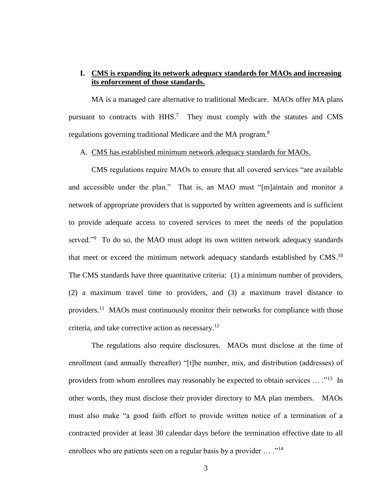# **I. CMS is expanding its network adequacy standards for MAOs and increasing its enforcement of those standards.**

MA is a managed care alternative to traditional Medicare. MAOs offer MA plans pursuant to contracts with HHS.<sup>7</sup> They must comply with the statutes and CMS regulations governing traditional Medicare and the MA program.<sup>8</sup>

#### A. CMS has established minimum network adequacy standards for MAOs.

CMS regulations require MAOs to ensure that all covered services "are available and accessible under the plan." That is, an MAO must "[m]aintain and monitor a network of appropriate providers that is supported by written agreements and is sufficient to provide adequate access to covered services to meet the needs of the population served."<sup>9</sup> To do so, the MAO must adopt its own written network adequacy standards that meet or exceed the minimum network adequacy standards established by  $CMS^{10}$ . The CMS standards have three quantitative criteria: (1) a minimum number of providers, (2) a maximum travel time to providers, and (3) a maximum travel distance to providers.<sup>11</sup> MAOs must continuously monitor their networks for compliance with those criteria, and take corrective action as necessary.<sup>12</sup>

The regulations also require disclosures. MAOs must disclose at the time of enrollment (and annually thereafter) "[t]he number, mix, and distribution (addresses) of providers from whom enrollees may reasonably be expected to obtain services ... ."<sup>13</sup> In other words, they must disclose their provider directory to MA plan members. MAOs must also make "a good faith effort to provide written notice of a termination of a contracted provider at least 30 calendar days before the termination effective date to all enrollees who are patients seen on a regular basis by a provider  $\dots$  ."<sup>14</sup>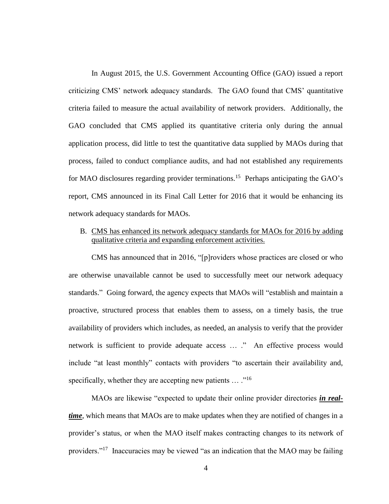In August 2015, the U.S. Government Accounting Office (GAO) issued a report criticizing CMS' network adequacy standards. The GAO found that CMS' quantitative criteria failed to measure the actual availability of network providers. Additionally, the GAO concluded that CMS applied its quantitative criteria only during the annual application process, did little to test the quantitative data supplied by MAOs during that process, failed to conduct compliance audits, and had not established any requirements for MAO disclosures regarding provider terminations.<sup>15</sup> Perhaps anticipating the GAO's report, CMS announced in its Final Call Letter for 2016 that it would be enhancing its network adequacy standards for MAOs.

B. CMS has enhanced its network adequacy standards for MAOs for 2016 by adding qualitative criteria and expanding enforcement activities.

CMS has announced that in 2016, "[p]roviders whose practices are closed or who are otherwise unavailable cannot be used to successfully meet our network adequacy standards." Going forward, the agency expects that MAOs will "establish and maintain a proactive, structured process that enables them to assess, on a timely basis, the true availability of providers which includes, as needed, an analysis to verify that the provider network is sufficient to provide adequate access … ." An effective process would include "at least monthly" contacts with providers "to ascertain their availability and, specifically, whether they are accepting new patients  $\dots$ ."<sup>16</sup>

MAOs are likewise "expected to update their online provider directories *in realtime*, which means that MAOs are to make updates when they are notified of changes in a provider's status, or when the MAO itself makes contracting changes to its network of providers."<sup>17</sup> Inaccuracies may be viewed "as an indication that the MAO may be failing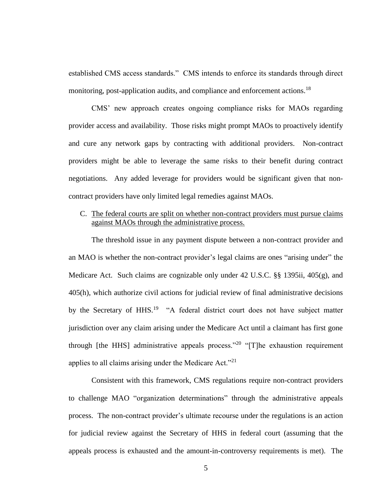established CMS access standards." CMS intends to enforce its standards through direct monitoring, post-application audits, and compliance and enforcement actions.<sup>18</sup>

CMS' new approach creates ongoing compliance risks for MAOs regarding provider access and availability. Those risks might prompt MAOs to proactively identify and cure any network gaps by contracting with additional providers. Non-contract providers might be able to leverage the same risks to their benefit during contract negotiations. Any added leverage for providers would be significant given that noncontract providers have only limited legal remedies against MAOs.

## C. The federal courts are split on whether non-contract providers must pursue claims against MAOs through the administrative process.

The threshold issue in any payment dispute between a non-contract provider and an MAO is whether the non-contract provider's legal claims are ones "arising under" the Medicare Act. Such claims are cognizable only under 42 U.S.C. §§ 1395ii, 405(g), and 405(h), which authorize civil actions for judicial review of final administrative decisions by the Secretary of HHS.<sup>19</sup> "A federal district court does not have subject matter jurisdiction over any claim arising under the Medicare Act until a claimant has first gone through [the HHS] administrative appeals process."<sup>20</sup> "[T]he exhaustion requirement applies to all claims arising under the Medicare Act."<sup>21</sup>

Consistent with this framework, CMS regulations require non-contract providers to challenge MAO "organization determinations" through the administrative appeals process. The non-contract provider's ultimate recourse under the regulations is an action for judicial review against the Secretary of HHS in federal court (assuming that the appeals process is exhausted and the amount-in-controversy requirements is met). The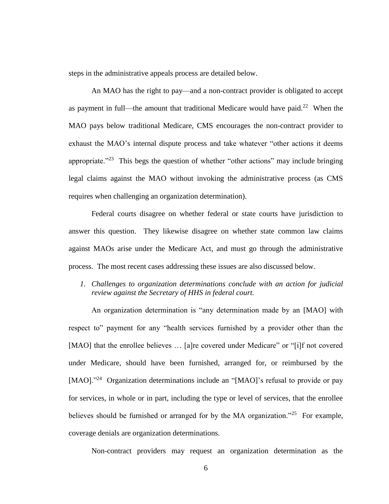steps in the administrative appeals process are detailed below.

An MAO has the right to pay—and a non-contract provider is obligated to accept as payment in full—the amount that traditional Medicare would have paid.<sup>22</sup> When the MAO pays below traditional Medicare, CMS encourages the non-contract provider to exhaust the MAO's internal dispute process and take whatever "other actions it deems appropriate." $23$  This begs the question of whether "other actions" may include bringing legal claims against the MAO without invoking the administrative process (as CMS requires when challenging an organization determination).

Federal courts disagree on whether federal or state courts have jurisdiction to answer this question. They likewise disagree on whether state common law claims against MAOs arise under the Medicare Act, and must go through the administrative process. The most recent cases addressing these issues are also discussed below.

*1. Challenges to organization determinations conclude with an action for judicial review against the Secretary of HHS in federal court.*

An organization determination is "any determination made by an [MAO] with respect to" payment for any "health services furnished by a provider other than the [MAO] that the enrollee believes ... [a]re covered under Medicare" or "[i]f not covered under Medicare, should have been furnished, arranged for, or reimbursed by the [MAO]."<sup>24</sup> Organization determinations include an "[MAO]'s refusal to provide or pay for services, in whole or in part, including the type or level of services, that the enrollee believes should be furnished or arranged for by the MA organization."<sup>25</sup> For example, coverage denials are organization determinations.

Non-contract providers may request an organization determination as the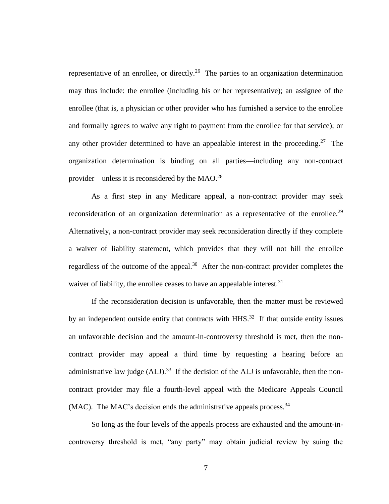representative of an enrollee, or directly.<sup>26</sup> The parties to an organization determination may thus include: the enrollee (including his or her representative); an assignee of the enrollee (that is, a physician or other provider who has furnished a service to the enrollee and formally agrees to waive any right to payment from the enrollee for that service); or any other provider determined to have an appealable interest in the proceeding.<sup>27</sup> The organization determination is binding on all parties—including any non-contract provider—unless it is reconsidered by the  $MAO.<sup>28</sup>$ 

As a first step in any Medicare appeal, a non-contract provider may seek reconsideration of an organization determination as a representative of the enrollee.<sup>29</sup> Alternatively, a non-contract provider may seek reconsideration directly if they complete a waiver of liability statement, which provides that they will not bill the enrollee regardless of the outcome of the appeal.<sup>30</sup> After the non-contract provider completes the waiver of liability, the enrollee ceases to have an appealable interest.<sup>31</sup>

If the reconsideration decision is unfavorable, then the matter must be reviewed by an independent outside entity that contracts with  $HHS$ .<sup>32</sup> If that outside entity issues an unfavorable decision and the amount-in-controversy threshold is met, then the noncontract provider may appeal a third time by requesting a hearing before an administrative law judge  $(ALI)$ .<sup>33</sup> If the decision of the ALJ is unfavorable, then the noncontract provider may file a fourth-level appeal with the Medicare Appeals Council  $(MAC)$ . The MAC's decision ends the administrative appeals process.<sup>34</sup>

So long as the four levels of the appeals process are exhausted and the amount-incontroversy threshold is met, "any party" may obtain judicial review by suing the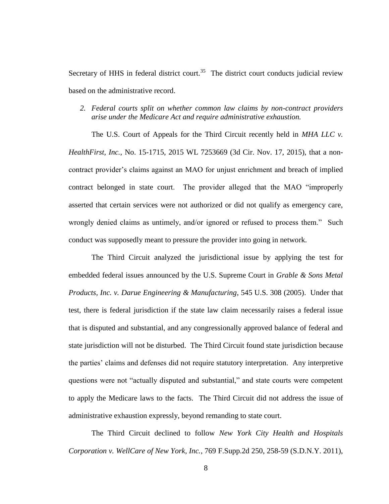Secretary of HHS in federal district court.<sup>35</sup> The district court conducts judicial review based on the administrative record.

### *2. Federal courts split on whether common law claims by non-contract providers arise under the Medicare Act and require administrative exhaustion.*

The U.S. Court of Appeals for the Third Circuit recently held in *MHA LLC v. HealthFirst, Inc.*, No. 15-1715, 2015 WL 7253669 (3d Cir. Nov. 17, 2015), that a noncontract provider's claims against an MAO for unjust enrichment and breach of implied contract belonged in state court. The provider alleged that the MAO "improperly asserted that certain services were not authorized or did not qualify as emergency care, wrongly denied claims as untimely, and/or ignored or refused to process them." Such conduct was supposedly meant to pressure the provider into going in network.

The Third Circuit analyzed the jurisdictional issue by applying the test for embedded federal issues announced by the U.S. Supreme Court in *Grable & Sons Metal Products, Inc. v. Darue Engineering & Manufacturing*, 545 U.S. 308 (2005). Under that test, there is federal jurisdiction if the state law claim necessarily raises a federal issue that is disputed and substantial, and any congressionally approved balance of federal and state jurisdiction will not be disturbed. The Third Circuit found state jurisdiction because the parties' claims and defenses did not require statutory interpretation. Any interpretive questions were not "actually disputed and substantial," and state courts were competent to apply the Medicare laws to the facts. The Third Circuit did not address the issue of administrative exhaustion expressly, beyond remanding to state court.

The Third Circuit declined to follow *New York City Health and Hospitals Corporation v. WellCare of New York, Inc.*, 769 F.Supp.2d 250, 258-59 (S.D.N.Y. 2011),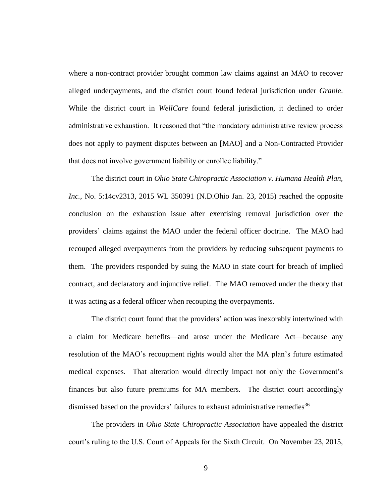where a non-contract provider brought common law claims against an MAO to recover alleged underpayments, and the district court found federal jurisdiction under *Grable*. While the district court in *WellCare* found federal jurisdiction, it declined to order administrative exhaustion. It reasoned that "the mandatory administrative review process does not apply to payment disputes between an [MAO] and a Non-Contracted Provider that does not involve government liability or enrollee liability."

The district court in *Ohio State Chiropractic Association v. Humana Health Plan, Inc.*, No. 5:14cv2313, 2015 WL 350391 (N.D.Ohio Jan. 23, 2015) reached the opposite conclusion on the exhaustion issue after exercising removal jurisdiction over the providers' claims against the MAO under the federal officer doctrine. The MAO had recouped alleged overpayments from the providers by reducing subsequent payments to them. The providers responded by suing the MAO in state court for breach of implied contract, and declaratory and injunctive relief. The MAO removed under the theory that it was acting as a federal officer when recouping the overpayments.

The district court found that the providers' action was inexorably intertwined with a claim for Medicare benefits—and arose under the Medicare Act—because any resolution of the MAO's recoupment rights would alter the MA plan's future estimated medical expenses. That alteration would directly impact not only the Government's finances but also future premiums for MA members. The district court accordingly dismissed based on the providers' failures to exhaust administrative remedies<sup>36</sup>

The providers in *Ohio State Chiropractic Association* have appealed the district court's ruling to the U.S. Court of Appeals for the Sixth Circuit. On November 23, 2015,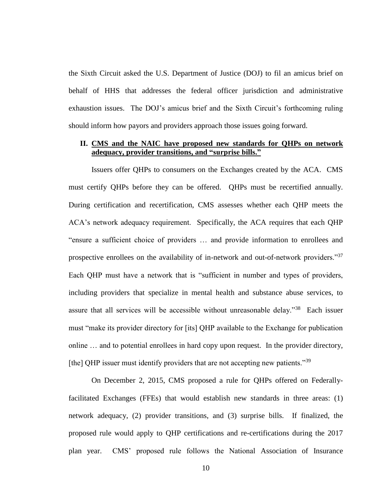the Sixth Circuit asked the U.S. Department of Justice (DOJ) to fil an amicus brief on behalf of HHS that addresses the federal officer jurisdiction and administrative exhaustion issues. The DOJ's amicus brief and the Sixth Circuit's forthcoming ruling should inform how payors and providers approach those issues going forward.

#### **II. CMS and the NAIC have proposed new standards for QHPs on network adequacy, provider transitions, and "surprise bills."**

Issuers offer QHPs to consumers on the Exchanges created by the ACA. CMS must certify QHPs before they can be offered. QHPs must be recertified annually. During certification and recertification, CMS assesses whether each QHP meets the ACA's network adequacy requirement. Specifically, the ACA requires that each QHP "ensure a sufficient choice of providers … and provide information to enrollees and prospective enrollees on the availability of in-network and out-of-network providers."<sup>37</sup> Each QHP must have a network that is "sufficient in number and types of providers, including providers that specialize in mental health and substance abuse services, to assure that all services will be accessible without unreasonable delay.<sup>38</sup> Each issuer must "make its provider directory for [its] QHP available to the Exchange for publication online … and to potential enrollees in hard copy upon request. In the provider directory, [the] QHP issuer must identify providers that are not accepting new patients."<sup>39</sup>

On December 2, 2015, CMS proposed a rule for QHPs offered on Federallyfacilitated Exchanges (FFEs) that would establish new standards in three areas: (1) network adequacy, (2) provider transitions, and (3) surprise bills. If finalized, the proposed rule would apply to QHP certifications and re-certifications during the 2017 plan year. CMS' proposed rule follows the National Association of Insurance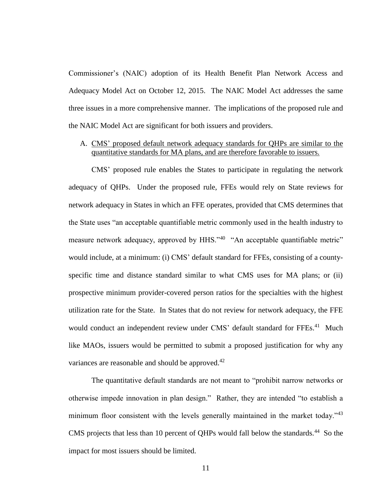Commissioner's (NAIC) adoption of its Health Benefit Plan Network Access and Adequacy Model Act on October 12, 2015. The NAIC Model Act addresses the same three issues in a more comprehensive manner. The implications of the proposed rule and the NAIC Model Act are significant for both issuers and providers.

# A. CMS' proposed default network adequacy standards for QHPs are similar to the quantitative standards for MA plans, and are therefore favorable to issuers.

CMS' proposed rule enables the States to participate in regulating the network adequacy of QHPs. Under the proposed rule, FFEs would rely on State reviews for network adequacy in States in which an FFE operates, provided that CMS determines that the State uses "an acceptable quantifiable metric commonly used in the health industry to measure network adequacy, approved by HHS."<sup>40</sup> "An acceptable quantifiable metric" would include, at a minimum: (i) CMS' default standard for FFEs, consisting of a countyspecific time and distance standard similar to what CMS uses for MA plans; or (ii) prospective minimum provider-covered person ratios for the specialties with the highest utilization rate for the State. In States that do not review for network adequacy, the FFE would conduct an independent review under CMS' default standard for FFEs.<sup>41</sup> Much like MAOs, issuers would be permitted to submit a proposed justification for why any variances are reasonable and should be approved.<sup>42</sup>

The quantitative default standards are not meant to "prohibit narrow networks or otherwise impede innovation in plan design." Rather, they are intended "to establish a minimum floor consistent with the levels generally maintained in the market today."<sup>43</sup> CMS projects that less than 10 percent of QHPs would fall below the standards. $^{44}$  So the impact for most issuers should be limited.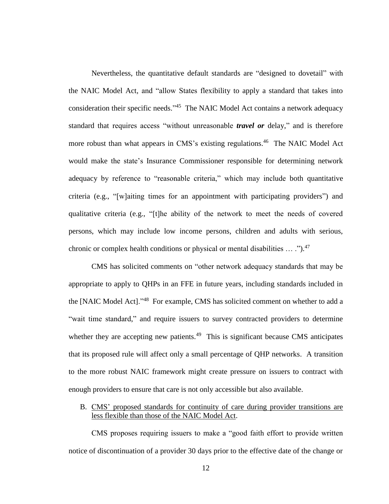Nevertheless, the quantitative default standards are "designed to dovetail" with the NAIC Model Act, and "allow States flexibility to apply a standard that takes into consideration their specific needs."<sup>45</sup> The NAIC Model Act contains a network adequacy standard that requires access "without unreasonable *travel or* delay," and is therefore more robust than what appears in CMS's existing regulations.<sup>46</sup> The NAIC Model Act would make the state's Insurance Commissioner responsible for determining network adequacy by reference to "reasonable criteria," which may include both quantitative criteria (e.g., "[w]aiting times for an appointment with participating providers") and qualitative criteria (e.g., "[t]he ability of the network to meet the needs of covered persons, which may include low income persons, children and adults with serious, chronic or complex health conditions or physical or mental disabilities  $\dots$ .").<sup>47</sup>

CMS has solicited comments on "other network adequacy standards that may be appropriate to apply to QHPs in an FFE in future years, including standards included in the [NAIC Model Act]."<sup>48</sup> For example, CMS has solicited comment on whether to add a "wait time standard," and require issuers to survey contracted providers to determine whether they are accepting new patients. $49$  This is significant because CMS anticipates that its proposed rule will affect only a small percentage of QHP networks. A transition to the more robust NAIC framework might create pressure on issuers to contract with enough providers to ensure that care is not only accessible but also available.

B. CMS' proposed standards for continuity of care during provider transitions are less flexible than those of the NAIC Model Act.

CMS proposes requiring issuers to make a "good faith effort to provide written notice of discontinuation of a provider 30 days prior to the effective date of the change or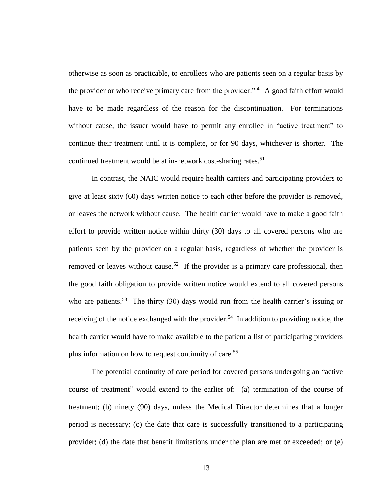otherwise as soon as practicable, to enrollees who are patients seen on a regular basis by the provider or who receive primary care from the provider."<sup>50</sup> A good faith effort would have to be made regardless of the reason for the discontinuation. For terminations without cause, the issuer would have to permit any enrollee in "active treatment" to continue their treatment until it is complete, or for 90 days, whichever is shorter. The continued treatment would be at in-network cost-sharing rates.<sup>51</sup>

In contrast, the NAIC would require health carriers and participating providers to give at least sixty (60) days written notice to each other before the provider is removed, or leaves the network without cause. The health carrier would have to make a good faith effort to provide written notice within thirty (30) days to all covered persons who are patients seen by the provider on a regular basis, regardless of whether the provider is removed or leaves without cause.<sup>52</sup> If the provider is a primary care professional, then the good faith obligation to provide written notice would extend to all covered persons who are patients.<sup>53</sup> The thirty (30) days would run from the health carrier's issuing or receiving of the notice exchanged with the provider.<sup>54</sup> In addition to providing notice, the health carrier would have to make available to the patient a list of participating providers plus information on how to request continuity of care. 55

The potential continuity of care period for covered persons undergoing an "active course of treatment" would extend to the earlier of: (a) termination of the course of treatment; (b) ninety (90) days, unless the Medical Director determines that a longer period is necessary; (c) the date that care is successfully transitioned to a participating provider; (d) the date that benefit limitations under the plan are met or exceeded; or (e)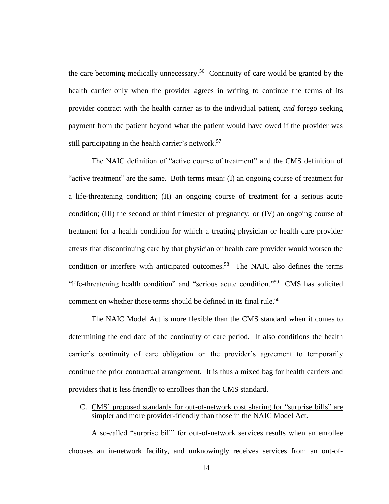the care becoming medically unnecessary.<sup>56</sup> Continuity of care would be granted by the health carrier only when the provider agrees in writing to continue the terms of its provider contract with the health carrier as to the individual patient, *and* forego seeking payment from the patient beyond what the patient would have owed if the provider was still participating in the health carrier's network.<sup>57</sup>

The NAIC definition of "active course of treatment" and the CMS definition of "active treatment" are the same. Both terms mean: (I) an ongoing course of treatment for a life-threatening condition; (II) an ongoing course of treatment for a serious acute condition; (III) the second or third trimester of pregnancy; or (IV) an ongoing course of treatment for a health condition for which a treating physician or health care provider attests that discontinuing care by that physician or health care provider would worsen the condition or interfere with anticipated outcomes.<sup>58</sup> The NAIC also defines the terms "life-threatening health condition" and "serious acute condition."<sup>59</sup> CMS has solicited comment on whether those terms should be defined in its final rule.<sup>60</sup>

The NAIC Model Act is more flexible than the CMS standard when it comes to determining the end date of the continuity of care period. It also conditions the health carrier's continuity of care obligation on the provider's agreement to temporarily continue the prior contractual arrangement. It is thus a mixed bag for health carriers and providers that is less friendly to enrollees than the CMS standard.

# C. CMS' proposed standards for out-of-network cost sharing for "surprise bills" are simpler and more provider-friendly than those in the NAIC Model Act.

A so-called "surprise bill" for out-of-network services results when an enrollee chooses an in-network facility, and unknowingly receives services from an out-of-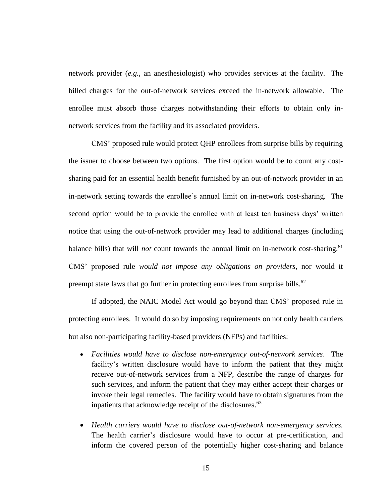network provider (*e.g.*, an anesthesiologist) who provides services at the facility. The billed charges for the out-of-network services exceed the in-network allowable. The enrollee must absorb those charges notwithstanding their efforts to obtain only innetwork services from the facility and its associated providers.

CMS' proposed rule would protect QHP enrollees from surprise bills by requiring the issuer to choose between two options. The first option would be to count any costsharing paid for an essential health benefit furnished by an out-of-network provider in an in-network setting towards the enrollee's annual limit on in-network cost-sharing. The second option would be to provide the enrollee with at least ten business days' written notice that using the out-of-network provider may lead to additional charges (including balance bills) that will *not* count towards the annual limit on in-network cost-sharing. 61 CMS' proposed rule *would not impose any obligations on providers*, nor would it preempt state laws that go further in protecting enrollees from surprise bills. $62$ 

If adopted, the NAIC Model Act would go beyond than CMS' proposed rule in protecting enrollees. It would do so by imposing requirements on not only health carriers but also non-participating facility-based providers (NFPs) and facilities:

- *Facilities would have to disclose non-emergency out-of-network services*. The facility's written disclosure would have to inform the patient that they might receive out-of-network services from a NFP, describe the range of charges for such services, and inform the patient that they may either accept their charges or invoke their legal remedies. The facility would have to obtain signatures from the inpatients that acknowledge receipt of the disclosures. 63
- *Health carriers would have to disclose out-of-network non-emergency services.*  The health carrier's disclosure would have to occur at pre-certification, and inform the covered person of the potentially higher cost-sharing and balance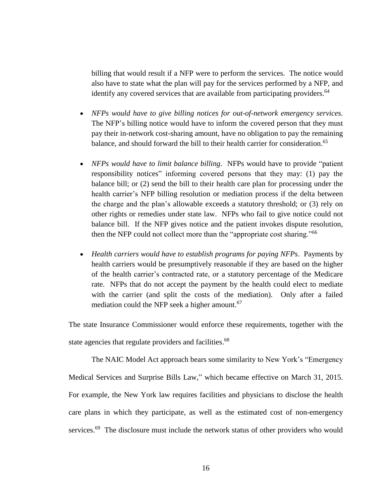billing that would result if a NFP were to perform the services. The notice would also have to state what the plan will pay for the services performed by a NFP, and identify any covered services that are available from participating providers.<sup>64</sup>

- *NFPs would have to give billing notices for out-of-network emergency services.* The NFP's billing notice would have to inform the covered person that they must pay their in-network cost-sharing amount, have no obligation to pay the remaining balance, and should forward the bill to their health carrier for consideration.<sup>65</sup>
- *NFPs would have to limit balance billing*. NFPs would have to provide "patient responsibility notices" informing covered persons that they may: (1) pay the balance bill; or (2) send the bill to their health care plan for processing under the health carrier's NFP billing resolution or mediation process if the delta between the charge and the plan's allowable exceeds a statutory threshold; or (3) rely on other rights or remedies under state law. NFPs who fail to give notice could not balance bill. If the NFP gives notice and the patient invokes dispute resolution, then the NFP could not collect more than the "appropriate cost sharing."<sup>66</sup>
- *Health carriers would have to establish programs for paying NFPs*. Payments by health carriers would be presumptively reasonable if they are based on the higher of the health carrier's contracted rate, or a statutory percentage of the Medicare rate. NFPs that do not accept the payment by the health could elect to mediate with the carrier (and split the costs of the mediation). Only after a failed mediation could the NFP seek a higher amount.<sup>67</sup>

The state Insurance Commissioner would enforce these requirements, together with the state agencies that regulate providers and facilities.<sup>68</sup>

The NAIC Model Act approach bears some similarity to New York's "Emergency Medical Services and Surprise Bills Law," which became effective on March 31, 2015. For example, the New York law requires facilities and physicians to disclose the health care plans in which they participate, as well as the estimated cost of non-emergency services.<sup>69</sup> The disclosure must include the network status of other providers who would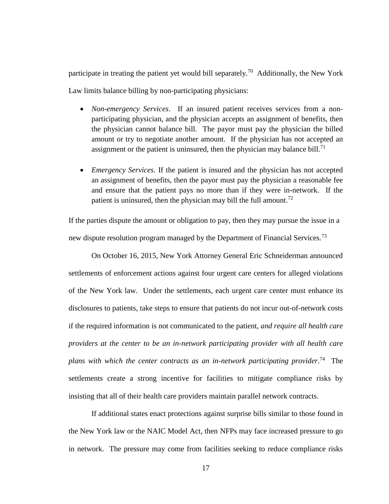participate in treating the patient yet would bill separately.<sup>70</sup> Additionally, the New York Law limits balance billing by non-participating physicians:

- *Non-emergency Services*. If an insured patient receives services from a nonparticipating physician, and the physician accepts an assignment of benefits, then the physician cannot balance bill. The payor must pay the physician the billed amount or try to negotiate another amount. If the physician has not accepted an assignment or the patient is uninsured, then the physician may balance bill.<sup>71</sup>
- *Emergency Services*. If the patient is insured and the physician has not accepted an assignment of benefits, then the payor must pay the physician a reasonable fee and ensure that the patient pays no more than if they were in-network. If the patient is uninsured, then the physician may bill the full amount.<sup>72</sup>

If the parties dispute the amount or obligation to pay, then they may pursue the issue in a new dispute resolution program managed by the Department of Financial Services.<sup>73</sup>

On October 16, 2015, New York Attorney General Eric Schneiderman announced settlements of enforcement actions against four urgent care centers for alleged violations of the New York law. Under the settlements, each urgent care center must enhance its disclosures to patients, take steps to ensure that patients do not incur out-of-network costs if the required information is not communicated to the patient, *and require all health care providers at the center to be an in-network participating provider with all health care*  plans with which the center contracts as an in-network participating provider.<sup>74</sup> The settlements create a strong incentive for facilities to mitigate compliance risks by insisting that all of their health care providers maintain parallel network contracts.

If additional states enact protections against surprise bills similar to those found in the New York law or the NAIC Model Act, then NFPs may face increased pressure to go in network. The pressure may come from facilities seeking to reduce compliance risks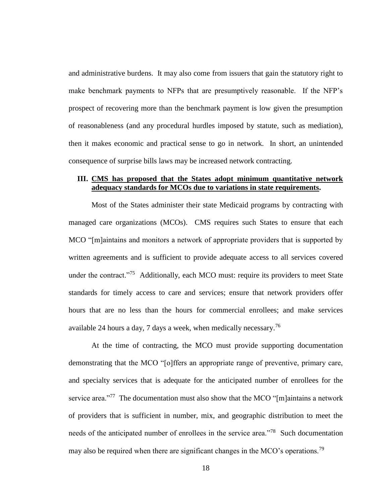and administrative burdens. It may also come from issuers that gain the statutory right to make benchmark payments to NFPs that are presumptively reasonable. If the NFP's prospect of recovering more than the benchmark payment is low given the presumption of reasonableness (and any procedural hurdles imposed by statute, such as mediation), then it makes economic and practical sense to go in network. In short, an unintended consequence of surprise bills laws may be increased network contracting.

# **III. CMS has proposed that the States adopt minimum quantitative network adequacy standards for MCOs due to variations in state requirements.**

Most of the States administer their state Medicaid programs by contracting with managed care organizations (MCOs). CMS requires such States to ensure that each MCO "[m]aintains and monitors a network of appropriate providers that is supported by written agreements and is sufficient to provide adequate access to all services covered under the contract."<sup>75</sup> Additionally, each MCO must: require its providers to meet State standards for timely access to care and services; ensure that network providers offer hours that are no less than the hours for commercial enrollees; and make services available 24 hours a day, 7 days a week, when medically necessary.<sup>76</sup>

At the time of contracting, the MCO must provide supporting documentation demonstrating that the MCO "[o]ffers an appropriate range of preventive, primary care, and specialty services that is adequate for the anticipated number of enrollees for the service area."<sup>77</sup> The documentation must also show that the MCO "[m]aintains a network of providers that is sufficient in number, mix, and geographic distribution to meet the needs of the anticipated number of enrollees in the service area."<sup>78</sup> Such documentation may also be required when there are significant changes in the MCO's operations.<sup>79</sup>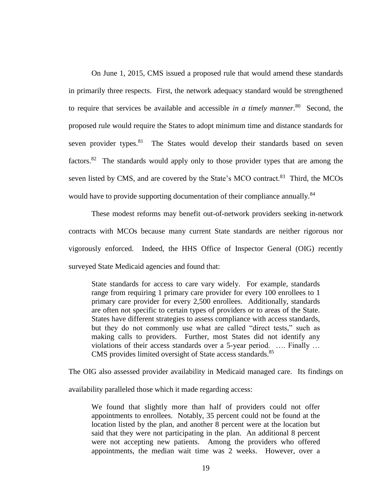On June 1, 2015, CMS issued a proposed rule that would amend these standards in primarily three respects. First, the network adequacy standard would be strengthened to require that services be available and accessible *in a timely manner*. 80 Second, the proposed rule would require the States to adopt minimum time and distance standards for seven provider types.<sup>81</sup> The States would develop their standards based on seven factors.<sup>82</sup> The standards would apply only to those provider types that are among the seven listed by CMS, and are covered by the State's MCO contract.<sup>83</sup> Third, the MCOs would have to provide supporting documentation of their compliance annually.<sup>84</sup>

These modest reforms may benefit out-of-network providers seeking in-network contracts with MCOs because many current State standards are neither rigorous nor vigorously enforced. Indeed, the HHS Office of Inspector General (OIG) recently surveyed State Medicaid agencies and found that:

State standards for access to care vary widely. For example, standards range from requiring 1 primary care provider for every 100 enrollees to 1 primary care provider for every 2,500 enrollees. Additionally, standards are often not specific to certain types of providers or to areas of the State. States have different strategies to assess compliance with access standards, but they do not commonly use what are called "direct tests," such as making calls to providers. Further, most States did not identify any violations of their access standards over a 5-year period. …. Finally … CMS provides limited oversight of State access standards.<sup>85</sup>

The OIG also assessed provider availability in Medicaid managed care. Its findings on

availability paralleled those which it made regarding access:

We found that slightly more than half of providers could not offer appointments to enrollees. Notably, 35 percent could not be found at the location listed by the plan, and another 8 percent were at the location but said that they were not participating in the plan. An additional 8 percent were not accepting new patients. Among the providers who offered appointments, the median wait time was 2 weeks. However, over a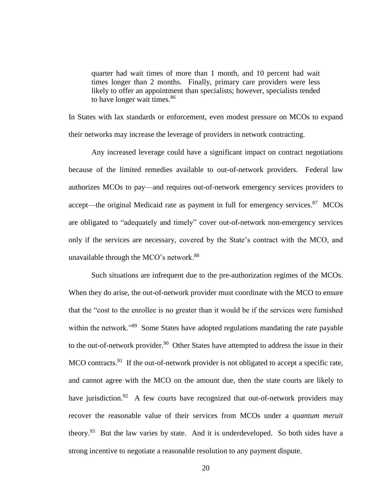quarter had wait times of more than 1 month, and 10 percent had wait times longer than 2 months. Finally, primary care providers were less likely to offer an appointment than specialists; however, specialists tended to have longer wait times.<sup>86</sup>

In States with lax standards or enforcement, even modest pressure on MCOs to expand their networks may increase the leverage of providers in network contracting.

Any increased leverage could have a significant impact on contract negotiations because of the limited remedies available to out-of-network providers. Federal law authorizes MCOs to pay—and requires out-of-network emergency services providers to accept—the original Medicaid rate as payment in full for emergency services. $87$  MCOs are obligated to "adequately and timely" cover out-of-network non-emergency services only if the services are necessary, covered by the State's contract with the MCO, and unavailable through the MCO's network. $88$ 

Such situations are infrequent due to the pre-authorization regimes of the MCOs. When they do arise, the out-of-network provider must coordinate with the MCO to ensure that the "cost to the enrollee is no greater than it would be if the services were furnished within the network."<sup>89</sup> Some States have adopted regulations mandating the rate payable to the out-of-network provider.<sup>90</sup> Other States have attempted to address the issue in their MCO contracts.<sup>91</sup> If the out-of-network provider is not obligated to accept a specific rate, and cannot agree with the MCO on the amount due, then the state courts are likely to have jurisdiction.<sup>92</sup> A few courts have recognized that out-of-network providers may recover the reasonable value of their services from MCOs under a *quantum meruit* theory.<sup>93</sup> But the law varies by state. And it is underdeveloped. So both sides have a strong incentive to negotiate a reasonable resolution to any payment dispute.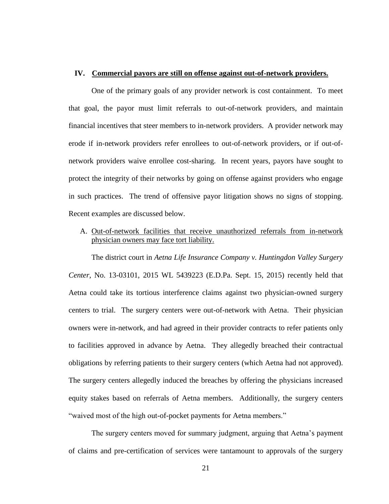#### **IV. Commercial payors are still on offense against out-of-network providers.**

One of the primary goals of any provider network is cost containment. To meet that goal, the payor must limit referrals to out-of-network providers, and maintain financial incentives that steer members to in-network providers. A provider network may erode if in-network providers refer enrollees to out-of-network providers, or if out-ofnetwork providers waive enrollee cost-sharing. In recent years, payors have sought to protect the integrity of their networks by going on offense against providers who engage in such practices. The trend of offensive payor litigation shows no signs of stopping. Recent examples are discussed below.

A. Out-of-network facilities that receive unauthorized referrals from in-network physician owners may face tort liability.

The district court in *Aetna Life Insurance Company v. Huntingdon Valley Surgery Center*, No. 13-03101, 2015 WL 5439223 (E.D.Pa. Sept. 15, 2015) recently held that Aetna could take its tortious interference claims against two physician-owned surgery centers to trial. The surgery centers were out-of-network with Aetna. Their physician owners were in-network, and had agreed in their provider contracts to refer patients only to facilities approved in advance by Aetna. They allegedly breached their contractual obligations by referring patients to their surgery centers (which Aetna had not approved). The surgery centers allegedly induced the breaches by offering the physicians increased equity stakes based on referrals of Aetna members. Additionally, the surgery centers "waived most of the high out-of-pocket payments for Aetna members."

The surgery centers moved for summary judgment, arguing that Aetna's payment of claims and pre-certification of services were tantamount to approvals of the surgery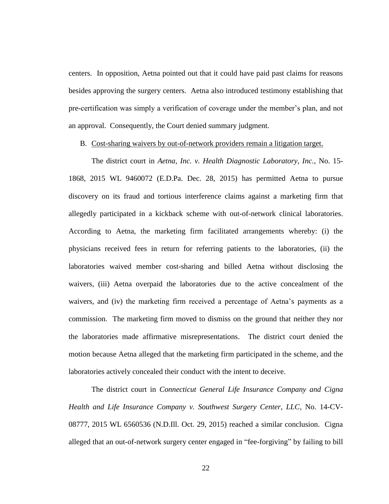centers. In opposition, Aetna pointed out that it could have paid past claims for reasons besides approving the surgery centers. Aetna also introduced testimony establishing that pre-certification was simply a verification of coverage under the member's plan, and not an approval. Consequently, the Court denied summary judgment.

B. Cost-sharing waivers by out-of-network providers remain a litigation target.

The district court in *Aetna, Inc. v. Health Diagnostic Laboratory, Inc.*, No. 15- 1868, 2015 WL 9460072 (E.D.Pa. Dec. 28, 2015) has permitted Aetna to pursue discovery on its fraud and tortious interference claims against a marketing firm that allegedly participated in a kickback scheme with out-of-network clinical laboratories. According to Aetna, the marketing firm facilitated arrangements whereby: (i) the physicians received fees in return for referring patients to the laboratories, (ii) the laboratories waived member cost-sharing and billed Aetna without disclosing the waivers, (iii) Aetna overpaid the laboratories due to the active concealment of the waivers, and (iv) the marketing firm received a percentage of Aetna's payments as a commission. The marketing firm moved to dismiss on the ground that neither they nor the laboratories made affirmative misrepresentations. The district court denied the motion because Aetna alleged that the marketing firm participated in the scheme, and the laboratories actively concealed their conduct with the intent to deceive.

The district court in *Connecticut General Life Insurance Company and Cigna Health and Life Insurance Company v. Southwest Surgery Center, LLC*, No. 14-CV-08777, 2015 WL 6560536 (N.D.Ill. Oct. 29, 2015) reached a similar conclusion. Cigna alleged that an out-of-network surgery center engaged in "fee-forgiving" by failing to bill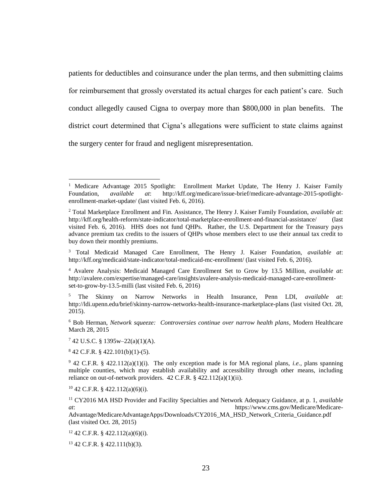patients for deductibles and coinsurance under the plan terms, and then submitting claims for reimbursement that grossly overstated its actual charges for each patient's care. Such conduct allegedly caused Cigna to overpay more than \$800,000 in plan benefits. The district court determined that Cigna's allegations were sufficient to state claims against the surgery center for fraud and negligent misrepresentation.

 $842$  C.F.R. § 422.101(b)(1)-(5).

 $\overline{\phantom{a}}$ 

 $9$  42 C.F.R. § 422.112(a)(1)(i). The only exception made is for MA regional plans, *i.e.*, plans spanning multiple counties, which may establish availability and accessibility through other means, including reliance on out-of-network providers. 42 C.F.R. § 422.112(a)(1)(ii).

<sup>10</sup> 42 C.F.R. § 422.112(a)(6)(i).

<sup>11</sup> CY2016 MA HSD Provider and Facility Specialties and Network Adequacy Guidance, at p. 1, *available at*: https://www.cms.gov/Medicare/Medicare-Advantage/MedicareAdvantageApps/Downloads/CY2016\_MA\_HSD\_Network\_Criteria\_Guidance.pdf (last visited Oct. 28, 2015)

 $12$  42 C.F.R. § 422.112(a)(6)(i).

<sup>13</sup> 42 C.F.R. § 422.111(b)(3).

<sup>&</sup>lt;sup>1</sup> Medicare Advantage 2015 Spotlight: Enrollment Market Update, The Henry J. Kaiser Family Foundation, *available at*: http://kff.org/medicare/issue-brief/medicare-advantage-2015-spotlight-Foundation, *available at*: http://kff.org/medicare/issue-brief/medicare-advantage-2015-spotlightenrollment-market-update/ (last visited Feb. 6, 2016).

<sup>2</sup> Total Marketplace Enrollment and Fin. Assistance, The Henry J. Kaiser Family Foundation, *available at*: http://kff.org/health-reform/state-indicator/total-marketplace-enrollment-and-financial-assistance/ (last visited Feb. 6, 2016). HHS does not fund QHPs. Rather, the U.S. Department for the Treasury pays advance premium tax credits to the issuers of QHPs whose members elect to use their annual tax credit to buy down their monthly premiums.

<sup>3</sup> Total Medicaid Managed Care Enrollment, The Henry J. Kaiser Foundation, *available at*: http://kff.org/medicaid/state-indicator/total-medicaid-mc-enrollment/ (last visited Feb. 6, 2016).

<sup>4</sup> Avalere Analysis: Medicaid Managed Care Enrollment Set to Grow by 13.5 Million, *available at*: http://avalere.com/expertise/managed-care/insights/avalere-analysis-medicaid-managed-care-enrollmentset-to-grow-by-13.5-milli (last visited Feb. 6, 2016)

<sup>5</sup> The Skinny on Narrow Networks in Health Insurance, Penn LDI, *available at*: http://ldi.upenn.edu/brief/skinny-narrow-networks-health-insurance-marketplace-plans (last visited Oct. 28, 2015).

<sup>6</sup> Bob Herman, *Network squeeze: Controversies continue over narrow health plans*, Modern Healthcare March 28, 2015

 $742$  U.S.C. § 1395w–22(a)(1)(A).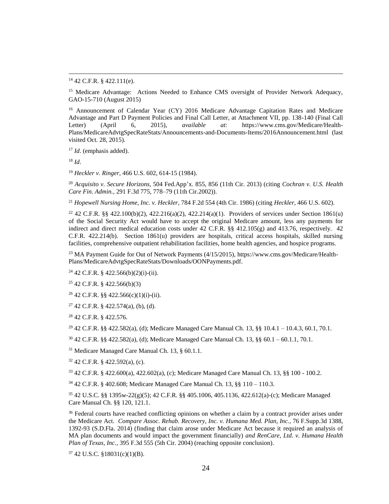<sup>14</sup> 42 C.F.R. § 422.111(e).

<sup>15</sup> Medicare Advantage: Actions Needed to Enhance CMS oversight of Provider Network Adequacy, GAO-15-710 (August 2015)

<sup>16</sup> Announcement of Calendar Year (CY) 2016 Medicare Advantage Capitation Rates and Medicare Advantage and Part D Payment Policies and Final Call Letter, at Attachment VII, pp. 138-140 (Final Call Letter) (April 6, 2015), *available at*: https://www.cms.gov/Medicare/Health-Plans/MedicareAdvtgSpecRateStats/Announcements-and-Documents-Items/2016Announcement.html (last visited Oct. 28, 2015).

<sup>17</sup> *Id.* (emphasis added).

<sup>18</sup> *Id*.

 $\overline{\phantom{a}}$ 

<sup>19</sup> *Heckler v. Ringer*, 466 U.S. 602, 614-15 (1984).

<sup>20</sup> *Acquisito v. Secure Horizons*, 504 Fed.App'x. 855, 856 (11th Cir. 2013) (citing *Cochran v. U.S. Health Care Fin. Admin.,* 291 F.3d 775, 778–79 (11th Cir.2002)).

<sup>21</sup> *Hopewell Nursing Home, Inc. v. Heckler*, 784 F.2d 554 (4th Cir. 1986) (citing *Heckler*, 466 U.S. 602).

<sup>22</sup> 42 C.F.R. §§ 422.100(b)(2), 422.216(a)(2), 422.214(a)(1). Providers of services under Section 1861(u) of the Social Security Act would have to accept the original Medicare amount, less any payments for indirect and direct medical education costs under 42 C.F.R. §§ 412.105(g) and 413.76, respectively. 42 C.F.R. 422.214(b). Section 1861(u) providers are hospitals, critical access hospitals, skilled nursing facilities, comprehensive outpatient rehabilitation facilities, home health agencies, and hospice programs.

<sup>23</sup> MA Payment Guide for Out of Network Payments (4/15/2015), https://www.cms.gov/Medicare/Health-Plans/MedicareAdvtgSpecRateStats/Downloads/OONPayments.pdf.

 $24$  42 C.F.R. § 422.566(b)(2)(i)-(ii).

 $25$  42 C.F.R. § 422.566(b)(3)

<sup>26</sup> 42 C.F.R. §§ 422.566(c)(1)(i)-(ii).

 $27$  42 C.F.R. § 422.574(a), (b), (d).

<sup>28</sup> 42 C.F.R. § 422.576.

<sup>29</sup> 42 C.F.R. §§ 422.582(a), (d); Medicare Managed Care Manual Ch. 13, §§ 10.4.1 – 10.4.3, 60.1, 70.1.

 $30\,42$  C.F.R. §§  $422.582(a)$ , (d); Medicare Managed Care Manual Ch. 13, §§  $60.1 - 60.1.1$ , 70.1.

<sup>31</sup> Medicare Managed Care Manual Ch. 13, § 60.1.1.

 $32$  42 C.F.R. § 422.592(a), (c).

<sup>33</sup> 42 C.F.R. § 422.600(a), 422.602(a), (c); Medicare Managed Care Manual Ch. 13, §§ 100 - 100.2.

<sup>34</sup> 42 C.F.R. § 402.608; Medicare Managed Care Manual Ch. 13, §§ 110 – 110.3.

<sup>35</sup> 42 U.S.C. §§ 1395w-22(g)(5); 42 C.F.R. §§ 405.1006, 405.1136, 422.612(a)-(c); Medicare Managed Care Manual Ch. §§ 120, 121.1.

<sup>36</sup> Federal courts have reached conflicting opinions on whether a claim by a contract provider arises under the Medicare Act. *Compare Assoc. Rehab. Recovery, Inc. v. Humana Med. Plan, Inc.*, 76 F.Supp.3d 1388, 1392-93 (S.D.Fla. 2014) (finding that claim arose under Medicare Act because it required an analysis of MA plan documents and would impact the government financially) *and RenCare, Ltd. v. Humana Health Plan of Texas, Inc.*, 395 F.3d 555 (5th Cir. 2004) (reaching opposite conclusion).

<sup>37</sup> 42 U.S.C. §18031(c)(1)(B).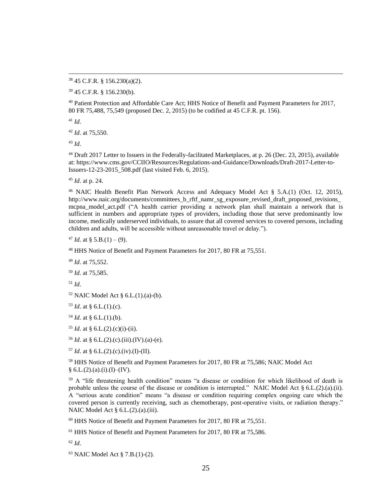<sup>38</sup> 45 C.F.R. § 156.230(a)(2).

<sup>39</sup> 45 C.F.R. § 156.230(b).

<sup>40</sup> Patient Protection and Affordable Care Act; HHS Notice of Benefit and Payment Parameters for 2017, 80 FR 75,488, 75,549 (proposed Dec. 2, 2015) (to be codified at 45 C.F.R. pt. 156).

<sup>41</sup> *Id*.

 $\overline{\phantom{a}}$ 

<sup>42</sup> *Id*. at 75,550.

<sup>43</sup> *Id*.

<sup>44</sup> Draft 2017 Letter to Issuers in the Federally-facilitated Marketplaces, at p. 26 (Dec. 23, 2015), available at: https://www.cms.gov/CCIIO/Resources/Regulations-and-Guidance/Downloads/Draft-2017-Letter-to-Issuers-12-23-2015\_508.pdf (last visited Feb. 6, 2015).

<sup>45</sup> *Id*. at p. 24.

<sup>46</sup> NAIC Health Benefit Plan Network Access and Adequacy Model Act § 5.A.(1) (Oct. 12, 2015), http://www.naic.org/documents/committees\_b\_rftf\_namr\_sg\_exposure\_revised\_draft\_proposed\_revisions\_ mcpna\_model\_act.pdf ("A health carrier providing a network plan shall maintain a network that is sufficient in numbers and appropriate types of providers, including those that serve predominantly low income, medically underserved individuals, to assure that all covered services to covered persons, including children and adults, will be accessible without unreasonable travel or delay.").

<sup>47</sup> *Id.* at § 5.B.(1) – (9).

<sup>48</sup> HHS Notice of Benefit and Payment Parameters for 2017, 80 FR at 75,551.

<sup>49</sup> *Id*. at 75,552.

<sup>50</sup> *Id*. at 75,585.

<sup>51</sup> *Id*.

 $52$  NAIC Model Act § 6.L. $(1)$ . $(a)$ - $(b)$ .

<sup>53</sup> *Id*. at § 6.L.(1).(c).

 $54$  *Id.* at § 6.L.(1).(b).

 $55$  *Id.* at § 6.L. $(2)$ . $(c)$  $(i)$ - $(ii)$ .

<sup>56</sup> *Id*. at § 6.L.(2).(c).(iii).(IV).(a)-(e).

 $57$  *Id.* at § 6.L.(2).(c).(iv).(I)-(II).

<sup>58</sup> HHS Notice of Benefit and Payment Parameters for 2017, 80 FR at 75,586; NAIC Model Act  $§ 6.L.(2).(a).(i).(I)-(IV).$ 

<sup>59</sup> A "life threatening health condition" means "a disease or condition for which likelihood of death is probable unless the course of the disease or condition is interrupted." NAIC Model Act  $\S 6.L.(2).(a).(ii)$ . A "serious acute condition" means "a disease or condition requiring complex ongoing care which the covered person is currently receiving, such as chemotherapy, post-operative visits, or radiation therapy." NAIC Model Act § 6.L.(2).(a).(iii).

<sup>60</sup> HHS Notice of Benefit and Payment Parameters for 2017, 80 FR at 75,551.

<sup>61</sup> HHS Notice of Benefit and Payment Parameters for 2017, 80 FR at 75,586.

<sup>62</sup> *Id*.

<sup>63</sup> NAIC Model Act § 7.B.(1)-(2).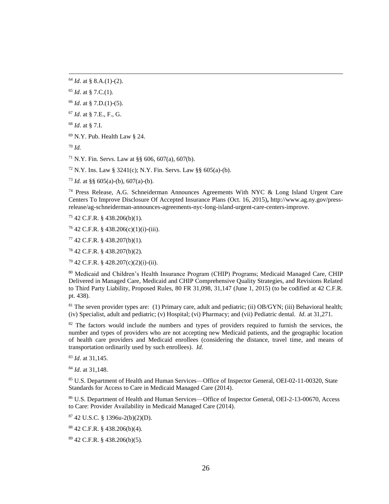*Id*. at § 7.I.

N.Y. Pub. Health Law § 24.

*Id.*

 $\overline{\phantom{a}}$ 

<sup>71</sup> N.Y. Fin. Servs. Law at §§ 606, 607(a), 607(b).

N.Y. Ins. Law § 3241(c); N.Y. Fin. Servs. Law §§ 605(a)-(b).

<sup>73</sup> *Id.* at §§  $605(a)-(b)$ ,  $607(a)-(b)$ .

 Press Release, A.G. Schneiderman Announces Agreements With NYC & Long Island Urgent Care Centers To Improve Disclosure Of Accepted Insurance Plans (Oct. 16, 2015)**,** http://www.ag.ny.gov/pressrelease/ag-schneiderman-announces-agreements-nyc-long-island-urgent-care-centers-improve.

42 C.F.R. § 438.206(b)(1).

42 C.F.R. § 438.206(c)(1)(i)-(iii).

42 C.F.R. § 438.207(b)(1).

42 C.F.R. § 438.207(b)(2).

42 C.F.R. § 428.207(c)(2)(i)-(ii).

 Medicaid and Children's Health Insurance Program (CHIP) Programs; Medicaid Managed Care, CHIP Delivered in Managed Care, Medicaid and CHIP Comprehensive Quality Strategies, and Revisions Related to Third Party Liability, Proposed Rules, 80 FR 31,098, 31,147 (June 1, 2015) (to be codified at 42 C.F.R. pt. 438).

 The seven provider types are: (1) Primary care, adult and pediatric; (ii) OB/GYN; (iii) Behavioral health; (iv) Specialist, adult and pediatric; (v) Hospital; (vi) Pharmacy; and (vii) Pediatric dental. *Id*. at 31,271.

<sup>82</sup> The factors would include the numbers and types of providers required to furnish the services, the number and types of providers who are not accepting new Medicaid patients, and the geographic location of health care providers and Medicaid enrollees (considering the distance, travel time, and means of transportation ordinarily used by such enrollees). *Id*.

*Id*. at 31,145.

*Id*. at 31,148.

 U.S. Department of Health and Human Services—Office of Inspector General, OEI-02-11-00320, State Standards for Access to Care in Medicaid Managed Care (2014).

 U.S. Department of Health and Human Services—Office of Inspector General, OEI-2-13-00670, Access to Care: Provider Availability in Medicaid Managed Care (2014).

42 U.S.C. § 1396u-2(b)(2)(D).

42 C.F.R. § 438.206(b)(4).

42 C.F.R. § 438.206(b)(5).

*Id*. at § 8.A.(1)-(2).

*Id*. at § 7.C.(1).

*Id*. at § 7.D.(1)-(5).

*Id*. at § 7.E., F., G.